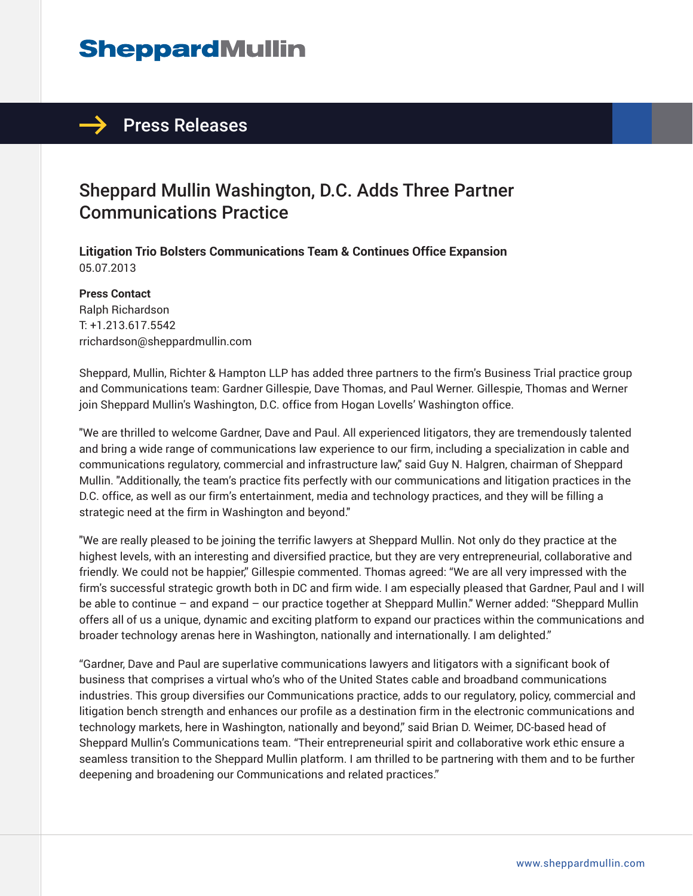# **SheppardMullin**

## $\rightarrow$  Press Releases

## Sheppard Mullin Washington, D.C. Adds Three Partner Communications Practice

**Litigation Trio Bolsters Communications Team & Continues Office Expansion** 05.07.2013

#### **Press Contact**

Ralph Richardson T: +1.213.617.5542 rrichardson@sheppardmullin.com

Sheppard, Mullin, Richter & Hampton LLP has added three partners to the firm's Business Trial practice group and Communications team: Gardner Gillespie, Dave Thomas, and Paul Werner. Gillespie, Thomas and Werner join Sheppard Mullin's Washington, D.C. office from Hogan Lovells' Washington office.

"We are thrilled to welcome Gardner, Dave and Paul. All experienced litigators, they are tremendously talented and bring a wide range of communications law experience to our firm, including a specialization in cable and communications regulatory, commercial and infrastructure law," said Guy N. Halgren, chairman of Sheppard Mullin. "Additionally, the team's practice fits perfectly with our communications and litigation practices in the D.C. office, as well as our firm's entertainment, media and technology practices, and they will be filling a strategic need at the firm in Washington and beyond."

"We are really pleased to be joining the terrific lawyers at Sheppard Mullin. Not only do they practice at the highest levels, with an interesting and diversified practice, but they are very entrepreneurial, collaborative and friendly. We could not be happier," Gillespie commented. Thomas agreed: "We are all very impressed with the firm's successful strategic growth both in DC and firm wide. I am especially pleased that Gardner, Paul and I will be able to continue – and expand – our practice together at Sheppard Mullin." Werner added: "Sheppard Mullin offers all of us a unique, dynamic and exciting platform to expand our practices within the communications and broader technology arenas here in Washington, nationally and internationally. I am delighted."

"Gardner, Dave and Paul are superlative communications lawyers and litigators with a significant book of business that comprises a virtual who's who of the United States cable and broadband communications industries. This group diversifies our Communications practice, adds to our regulatory, policy, commercial and litigation bench strength and enhances our profile as a destination firm in the electronic communications and technology markets, here in Washington, nationally and beyond," said Brian D. Weimer, DC-based head of Sheppard Mullin's Communications team. "Their entrepreneurial spirit and collaborative work ethic ensure a seamless transition to the Sheppard Mullin platform. I am thrilled to be partnering with them and to be further deepening and broadening our Communications and related practices."